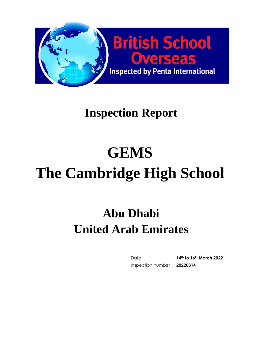

# **GEMS The Cambridge High School**

# **Abu Dhabi United Arab Emirates**

Date **14th to 16th March 2022** Inspection number **20220314**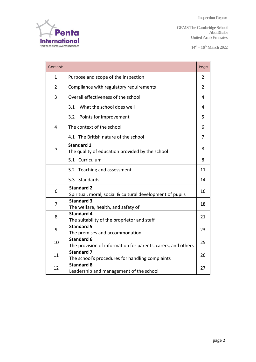

**GEMS The Cambridge School Abu Dhabi United Arab Emirates**

**14th – 16thMarch 2022** 

| Contents       |                                                                                         | Page           |  |  |
|----------------|-----------------------------------------------------------------------------------------|----------------|--|--|
| 1              | Purpose and scope of the inspection                                                     |                |  |  |
| $\overline{2}$ | Compliance with regulatory requirements                                                 |                |  |  |
| 3              | Overall effectiveness of the school                                                     |                |  |  |
|                | What the school does well<br>3.1                                                        | 4              |  |  |
|                | 3.2<br>Points for improvement                                                           | 5              |  |  |
| $\overline{4}$ | The context of the school                                                               | 6              |  |  |
|                | 4.1 The British nature of the school                                                    | $\overline{7}$ |  |  |
| 5              | <b>Standard 1</b><br>The quality of education provided by the school                    | 8              |  |  |
|                | 5.1 Curriculum                                                                          | 8              |  |  |
|                | 5.2 Teaching and assessment                                                             | 11             |  |  |
|                | Standards<br>5.3                                                                        | 14             |  |  |
| 6              | <b>Standard 2</b><br>16<br>Spiritual, moral, social & cultural development of pupils    |                |  |  |
| 7              | <b>Standard 3</b><br>The welfare, health, and safety of                                 | 18             |  |  |
| 8              | <b>Standard 4</b><br>The suitability of the proprietor and staff                        | 21             |  |  |
| 9              | <b>Standard 5</b><br>23<br>The premises and accommodation                               |                |  |  |
| 10             | <b>Standard 6</b><br>25<br>The provision of information for parents, carers, and others |                |  |  |
| 11             | <b>Standard 7</b><br>26<br>The school's procedures for handling complaints              |                |  |  |
| 12             | <b>Standard 8</b><br>Leadership and management of the school                            | 27             |  |  |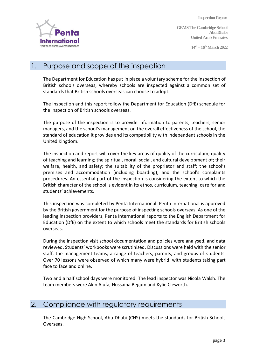**GEMS The Cambridge School Abu Dhabi United Arab Emirates**

**14th – 16thMarch 2022** 



## 1. Purpose and scope of the inspection

The Department for Education has put in place a voluntary scheme for the inspection of British schools overseas, whereby schools are inspected against a common set of standards that British schools overseas can choose to adopt.

The inspection and this report follow the Department for Education (DfE) schedule for the inspection of British schools overseas.

The purpose of the inspection is to provide information to parents, teachers, senior managers, and the school's management on the overall effectiveness of the school, the standard of education it provides and its compatibility with independent schools in the United Kingdom.

The inspection and report will cover the key areas of quality of the curriculum; quality of teaching and learning; the spiritual, moral, social, and cultural development of; their welfare, health, and safety; the suitability of the proprietor and staff; the school's premises and accommodation (including boarding); and the school's complaints procedures. An essential part of the inspection is considering the extent to which the British character of the school is evident in its ethos, curriculum, teaching, care for and students' achievements.

This inspection was completed by Penta International. Penta International is approved by the British government for the purpose of inspecting schools overseas. As one of the leading inspection providers, Penta International reports to the English Department for Education (DfE) on the extent to which schools meet the standards for British schools overseas.

During the inspection visit school documentation and policies were analysed, and data reviewed. Students' workbooks were scrutinised. Discussions were held with the senior staff, the management teams, a range of teachers, parents, and groups of students. Over 70 lessons were observed of which many were hybrid, with students taking part face to face and online.

Two and a half school days were monitored. The lead inspector was Nicola Walsh. The team members were Akin Alufa, Hussaina Begum and Kylie Cleworth.

#### 2. Compliance with regulatory requirements

The Cambridge High School, Abu Dhabi (CHS) meets the standards for British Schools Overseas.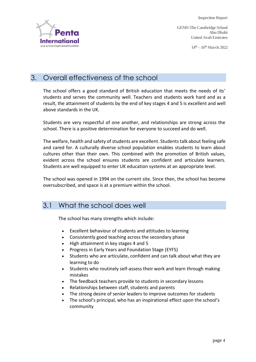**Abu Dhabi**

**GEMS The Cambridge School United Arab Emirates**

**14th – 16thMarch 2022** 



# 3. Overall effectiveness of the school

The school offers a good standard of British education that meets the needs of its' students and serves the community well. Teachers and students work hard and as a result, the attainment of students by the end of key stages 4 and 5 is excellent and well above standards in the UK.

Students are very respectful of one another, and relationships are strong across the school. There is a positive determination for everyone to succeed and do well.

The welfare, health and safety of students are excellent. Students talk about feeling safe and cared for. A culturally diverse school population enables students to learn about cultures other than their own. This combined with the promotion of British values, evident across the school ensures students are confident and articulate learners. Students are well equipped to enter UK education systems at an appropriate level.

The school was opened in 1994 on the current site. Since then, the school has become oversubscribed, and space is at a premium within the school.

# 3.1 What the school does well

The school has many strengths which include:

- Excellent behaviour of students and attitudes to learning
- Consistently good teaching across the secondary phase
- High attainment in key stages 4 and 5
- Progress in Early Years and Foundation Stage (EYFS)
- Students who are articulate, confident and can talk about what they are learning to do
- Students who routinely self-assess their work and learn through making mistakes
- The feedback teachers provide to students in secondary lessons
- Relationships between staff, students and parents
- The strong desire of senior leaders to improve outcomes for students
- The school's principal, who has an inspirational effect upon the school's community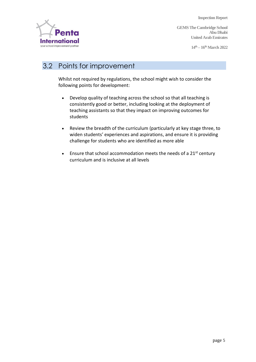**International** your school improvement partne

**GEMS The Cambridge School Abu Dhabi United Arab Emirates**

**14th – 16thMarch 2022** 

# 3.2 Points for improvement

Whilst not required by regulations, the school might wish to consider the following points for development:

- Develop quality of teaching across the school so that all teaching is consistently good or better, including looking at the deployment of teaching assistants so that they impact on improving outcomes for students
- Review the breadth of the curriculum (particularly at key stage three, to widen students' experiences and aspirations, and ensure it is providing challenge for students who are identified as more able
- Ensure that school accommodation meets the needs of a  $21^{st}$  century curriculum and is inclusive at all levels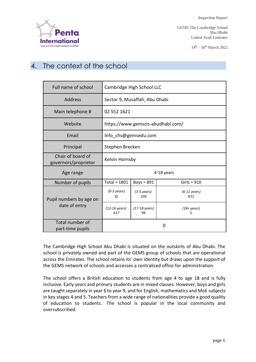

**GEMS The Cambridge School Abu Dhabi United Arab Emirates**

**14th – 16thMarch 2022** 

# 4. The context of the school

| Full name of school                       | Cambridge High School LLC         |                              |                               |  |
|-------------------------------------------|-----------------------------------|------------------------------|-------------------------------|--|
| <b>Address</b>                            | Sector 9, Musaffah, Abu Dhabi     |                              |                               |  |
| Main telephone #                          | 02 552 1621                       |                              |                               |  |
| Website                                   | https://www.gemscis-abudhabi.com/ |                              |                               |  |
| Email                                     | Info chs@gemsedu.com              |                              |                               |  |
| Principal                                 | Stephen Brecken                   |                              |                               |  |
| Chair of board of<br>governors/proprietor | Kelvin Hornsby                    |                              |                               |  |
| Age range                                 | 4-18 years                        |                              |                               |  |
| Number of pupils                          | Total = $1801$                    | Boys = $891$                 | Girls = $910$                 |  |
| Pupil numbers by age on                   | $(0-2 \text{ years})$<br>0        | $(3-5 \text{ years})$<br>209 | $(6-11 \text{ years})$<br>871 |  |
| date of entry                             | $(12-16 \text{ years})$<br>617    | $(17-18$ years)<br>99        | $(18 + years)$<br>5           |  |
| Total number of<br>part-time pupils       | $\Omega$                          |                              |                               |  |

The Cambridge High School Abu Dhabi is situated on the outskirts of Abu Dhabi. The school is privately owned and part of the GEMS group of schools that are operational across the Emirates. The school retains its' own identity but draws upon the support of the GEMS network of schools and accesses a centralised office for administration.

The school offers a British education to students from age 4 to age 18 and is fully inclusive. Early years and primary students are in mixed classes. However, boys and girls are taught separately in year 6 to year 9, and for English, mathematics and MoE subjects in key stages 4 and 5. Teachers from a wide range of nationalities provide a good quality of education to students. The school is popular in the local community and oversubscribed.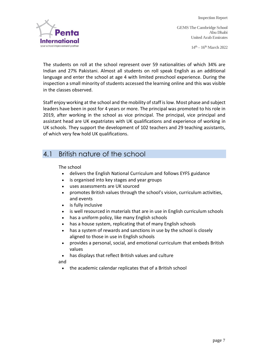

**14th – 16thMarch 2022** 

The students on roll at the school represent over 59 nationalities of which 34% are Indian and 27% Pakistani. Almost all students on roll speak English as an additional language and enter the school at age 4 with limited preschool experience. During the inspection a small minority of students accessed the learning online and this was visible in the classes observed.

Staff enjoy working at the school and the mobility of staff is low. Most phase and subject leaders have been in post for 4 years or more. The principal was promoted to his role in 2019, after working in the school as vice principal. The principal, vice principal and assistant head are UK expatriates with UK qualifications and experience of working in UK schools. They support the development of 102 teachers and 29 teaching assistants, of which very few hold UK qualifications.

# 4.1 British nature of the school

The school

- delivers the English National Curriculum and follows EYFS guidance
- is organised into key stages and year groups
- uses assessments are UK sourced
- promotes British values through the school's vision, curriculum activities, and events
- is fully inclusive
- is well resourced in materials that are in use in English curriculum schools
- has a uniform policy, like many English schools
- has a house system, replicating that of many English schools
- has a system of rewards and sanctions in use by the school is closely aligned to those in use in English schools
- provides a personal, social, and emotional curriculum that embeds British values
- has displays that reflect British values and culture

and

• the academic calendar replicates that of a British school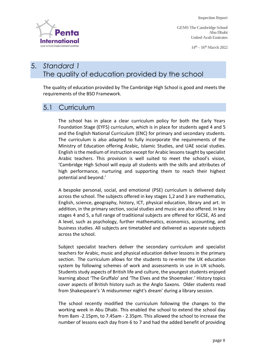**GEMS The Cambridge School Abu Dhabi United Arab Emirates**

**14th – 16thMarch 2022** 



# 5. *Standard 1* The quality of education provided by the school

The quality of education provided by The Cambridge High School is good and meets the requirements of the BSO Framework.

#### 5.1 Curriculum

The school has in place a clear curriculum policy for both the Early Years Foundation Stage (EYFS) curriculum, which is in place for students aged 4 and 5 and the English National Curriculum (ENC) for primary and secondary students. The curriculum is also adapted to fully incorporate the requirements of the Ministry of Education offering Arabic, Islamic Studies, and UAE social studies. English is the medium of instruction except for Arabic lessons taught by specialist Arabic teachers. This provision is well suited to meet the school's vision, 'Cambridge High School will equip all students with the skills and attributes of high performance, nurturing and supporting them to reach their highest potential and beyond.'

A bespoke personal, social, and emotional (PSE) curriculum is delivered daily across the school. The subjects offered in key stages 1,2 and 3 are mathematics, English, science, geography, history, ICT, physical education, library and art. In addition, in the primary section, social studies and music are also offered. In key stages 4 and 5, a full range of traditional subjects are offered for IGCSE, AS and A level, such as psychology, further mathematics, economics, accounting, and business studies. All subjects are timetabled and delivered as separate subjects across the school.

Subject specialist teachers deliver the secondary curriculum and specialist teachers for Arabic, music and physical education deliver lessons in the primary section. The curriculum allows for the students to re-enter the UK education system by following schemes of work and assessments in use in UK schools. Students study aspects of British life and culture, the youngest students enjoyed learning about 'The Gruffalo' and 'The Elves and the Shoemaker.' History topics cover aspects of British history such as the Anglo Saxons. Older students read from Shakespeare's 'A midsummer night's dream' during a library session.

The school recently modified the curriculum following the changes to the working week in Abu Dhabi. This enabled the school to extend the school day from 8am -2.15pm, to 7.45am - 2.35pm. This allowed the school to increase the number of lessons each day from 6 to 7 and had the added benefit of providing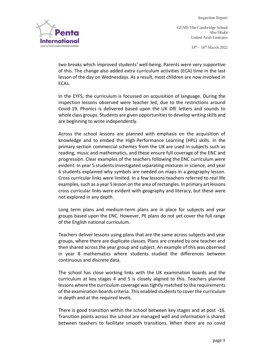**14th – 16thMarch 2022** 



two breaks which improved students' well-being. Parents were very supportive of this. The change also added extra curriculum activities (ECA) time in the last lesson of the day on Wednesdays. As a result, most children are now involved in ECAs.

In the EYFS, the curriculum is focussed on acquisition of language. During the inspection lessons observed were teacher led, due to the restrictions around Covid-19. Phonics is delivered based upon the UK DfE letters and sounds to whole class groups. Students are given opportunities to develop writing skills and are beginning to write independently.

Across the school lessons are planned with emphasis on the acquisition of knowledge and to embed the High-Performance Learning (HPL) skills. In the primary section commercial schemes from the UK are used in subjects such as reading, music and mathematics, and these ensure full coverage of the ENC and progression. Clear examples of the teachers following the ENC curriculum were evident. In year 5 students investigated separating mixtures in science, and year 6 students explained why symbols are needed on maps in a geography lesson. Cross curricular links were limited. In a few lessons teachers referred to real life examples, such as a year 5 lesson on the area of rectangles. In primary art lessons cross curricular links were evident with geography and literacy, but these were not explored in any depth.

Long term plans and medium-term plans are in place for subjects and year groups based upon the ENC. However, PE plans do not yet cover the full range of the English national curriculum.

Teachers deliver lessons using plans that are the same across subjects and year groups, where there are duplicate classes. Plans are created by one teacher and then shared across the year group and subject. An example of this was observed in year 8 mathematics where students studied the differences between continuous and discrete data.

The school has close working links with the UK examination boards and the curriculum at key stages 4 and 5 is closely aligned to this. Teachers planned lessons where the curriculum coverage was tightly matched to the requirements of the examination boards criteria. This enabled students to cover the curriculum in depth and at the required levels.

There is good transition within the school between key stages and at post -16. Transition points across the school are managed well and information is shared between teachers to facilitate smooth transitions. When there are no covid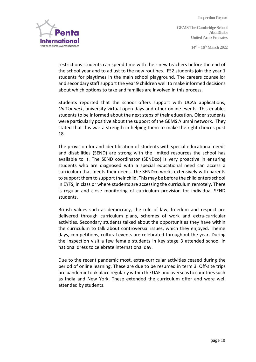**14th – 16thMarch 2022** 



restrictions students can spend time with their new teachers before the end of the school year and to adjust to the new routines. FS2 students join the year 1 students for playtimes in the main school playground. The careers counsellor and secondary staff support the year 9 children well to make informed decisions about which options to take and families are involved in this process.

Students reported that the school offers support with UCAS applications, *UniConnect*, university virtual open days and other online events. This enables students to be informed about the next steps of their education. Older students were particularly positive about the support of the GEMS Alumni network. They stated that this was a strength in helping them to make the right choices post 18.

The provision for and identification of students with special educational needs and disabilities (SEND) are strong with the limited resources the school has available to it. The SEND coordinator (SENDco) is very proactive in ensuring students who are diagnosed with a special educational need can access a curriculum that meets their needs. The SENDco works extensively with parents to support them to support their child. This may be before the child enters school in EYFS, in class or where students are accessing the curriculum remotely. There is regular and close monitoring of curriculum provision for individual SEND students.

British values such as democracy, the rule of law, freedom and respect are delivered through curriculum plans, schemes of work and extra-curricular activities. Secondary students talked about the opportunities they have within the curriculum to talk about controversial issues, which they enjoyed. Theme days, competitions, cultural events are celebrated throughout the year. During the inspection visit a few female students in key stage 3 attended school in national dress to celebrate international day.

Due to the recent pandemic most, extra-curricular activities ceased during the period of online learning. These are due to be resumed in term 3. Off-site trips pre pandemic took place regularly within the UAE and overseas to countries such as India and New York. These extended the curriculum offer and were well attended by students.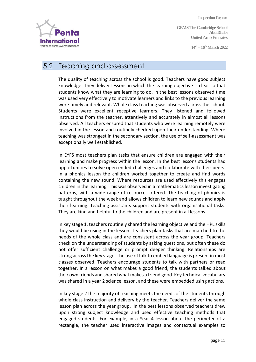**GEMS The Cambridge School Abu Dhabi United Arab Emirates**

**14th – 16thMarch 2022** 



## 5.2 Teaching and assessment

The quality of teaching across the school is good. Teachers have good subject knowledge. They deliver lessons in which the learning objective is clear so that students know what they are learning to do. In the best lessons observed time was used very effectively to motivate learners and links to the previous learning were timely and relevant. Whole class teaching was observed across the school. Students were excellent receptive learners. They listened and followed instructions from the teacher, attentively and accurately in almost all lessons observed. All teachers ensured that students who were learning remotely were involved in the lesson and routinely checked upon their understanding. Where teaching was strongest in the secondary section, the use of self-assessment was exceptionally well established.

In EYFS most teachers plan tasks that ensure children are engaged with their learning and make progress within the lesson. In the best lessons students had opportunities to solve open ended challenges and collaborate with their peers. In a phonics lesson the children worked together to create and find words containing the new sound. Where resources are used effectively this engages children in the learning. This was observed in a mathematics lesson investigating patterns, with a wide range of resources offered. The teaching of phonics is taught throughout the week and allows children to learn new sounds and apply their learning. Teaching assistants support students with organisational tasks. They are kind and helpful to the children and are present in all lessons.

In key stage 1, teachers routinely shared the learning objective and the HPL skills they would be using in the lesson. Teachers plan tasks that are matched to the needs of the whole class and are consistent across the year group. Teachers check on the understanding of students by asking questions, but often these do not offer sufficient challenge or prompt deeper thinking. Relationships are strong across the key stage. The use of talk to embed language is present in most classes observed. Teachers encourage students to talk with partners or read together. In a lesson on what makes a good friend, the students talked about their own friends and shared what makes a friend good. Key technical vocabulary was shared in a year 2 science lesson, and these were embedded using actions.

In key stage 2 the majority of teaching meets the needs of the students through whole class instruction and delivery by the teacher. Teachers deliver the same lesson plan across the year group. In the best lessons observed teachers drew upon strong subject knowledge and used effective teaching methods that engaged students. For example, in a Year 4 lesson about the perimeter of a rectangle, the teacher used interactive images and contextual examples to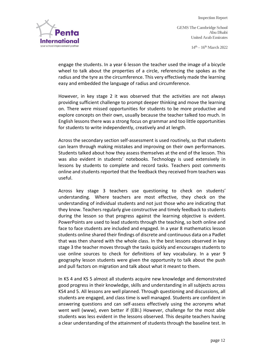**14th – 16thMarch 2022** 



engage the students. In a year 6 lesson the teacher used the image of a bicycle wheel to talk about the properties of a circle, referencing the spokes as the radius and the tyre as the circumference. This very effectively made the learning easy and embedded the language of radius and circumference.

However, in key stage 2 it was observed that the activities are not always providing sufficient challenge to prompt deeper thinking and move the learning on. There were missed opportunities for students to be more productive and explore concepts on their own, usually because the teacher talked too much. In English lessons there was a strong focus on grammar and too little opportunities for students to write independently, creatively and at length.

Across the secondary section self-assessment is used routinely, so that students can learn through making mistakes and improving on their own performances. Students talked about how they assess themselves at the end of the lesson. This was also evident in students' notebooks. Technology is used extensively in lessons by students to complete and record tasks. Teachers post comments online and students reported that the feedback they received from teachers was useful.

Across key stage 3 teachers use questioning to check on students' understanding. Where teachers are most effective, they check on the understanding of individual students and not just those who are indicating that they know. Teachers regularly give constructive and timely feedback to students during the lesson so that progress against the learning objective is evident. PowerPoints are used to lead students through the teaching, so both online and face to face students are included and engaged. In a year 8 mathematics lesson students online shared their findings of discrete and continuous data on a Padlet that was then shared with the whole class. In the best lessons observed in key stage 3 the teacher moves through the tasks quickly and encourages students to use online sources to check for definitions of key vocabulary. In a year 9 geography lesson students were given the opportunity to talk about the push and pull factors on migration and talk about what it meant to them.

In KS 4 and KS 5 almost all students acquire new knowledge and demonstrated good progress in their knowledge, skills and understanding in all subjects across KS4 and 5. All lessons are well planned. Through questioning and discussions, all students are engaged, and class time is well managed. Students are confident in answering questions and can self-assess effectively using the acronyms what went well (www), even better if (EBI.) However, challenge for the most able students was less evident in the lessons observed. This despite teachers having a clear understanding of the attainment of students through the baseline test. In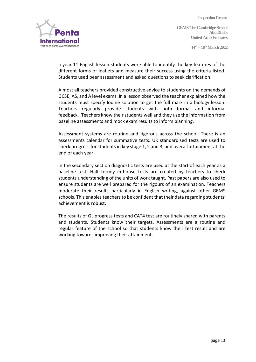

**14th – 16thMarch 2022** 



a year 11 English lesson students were able to identify the key features of the different forms of leaflets and measure their success using the criteria listed. Students used peer assessment and asked questions to seek clarification.

Almost all teachers provided constructive advice to students on the demands of GCSE, AS, and A level exams. In a lesson observed the teacher explained how the students must specify Iodine solution to get the full mark in a biology lesson. Teachers regularly provide students with both formal and informal feedback. Teachers know their students well and they use the information from baseline assessments and mock exam results to inform planning.

Assessment systems are routine and rigorous across the school. There is an assessments calendar for summative tests. UK standardised tests are used to check progress for students in key stage 1, 2 and 3, and overall attainment at the end of each year.

In the secondary section diagnostic tests are used at the start of each year as a baseline test. Half termly in-house tests are created by teachers to check students understanding of the units of work taught. Past papers are also used to ensure students are well prepared for the rigours of an examination. Teachers moderate their results particularly in English writing, against other GEMS schools. This enables teachers to be confident that their data regarding students' achievement is robust.

The results of GL progress tests and CAT4 test are routinely shared with parents and students. Students know their targets. Assessments are a routine and regular feature of the school so that students know their test result and are working towards improving their attainment.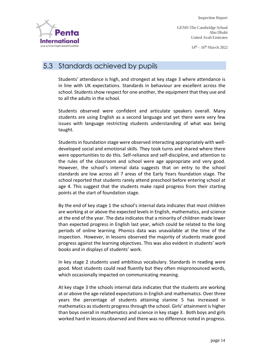**GEMS The Cambridge School Abu Dhabi United Arab Emirates**

**14th – 16thMarch 2022** 



# 5.3 Standards achieved by pupils

Students' attendance is high, and strongest at key stage 3 where attendance is in line with UK expectations. Standards in behaviour are excellent across the school. Students show respect for one another, the equipment that they use and to all the adults in the school.

Students observed were confident and articulate speakers overall. Many students are using English as a second language and yet there were very few issues with language restricting students understanding of what was being taught.

Students in foundation stage were observed interacting appropriately with welldeveloped social and emotional skills. They took turns and shared where there were opportunities to do this. Self-reliance and self-discipline, and attention to the rules of the classroom and school were age appropriate and very good. However, the school's internal data suggests that on entry to the school standards are low across all 7 areas of the Early Years foundation stage. The school reported that students rarely attend preschool before entering school at age 4. This suggest that the students make rapid progress from their starting points at the start of foundation stage.

By the end of key stage 1 the school's internal data indicates that most children are working at or above the expected levels in English, mathematics, and science at the end of the year. The data indicates that a minority of children made lower than expected progress in English last year, which could be related to the long periods of online learning. Phonics data was unavailable at the time of the inspection. However, in lessons observed the majority of students made good progress against the learning objectives. This was also evident in students' work books and in displays of students' work.

In key stage 2 students used ambitious vocabulary. Standards in reading were good. Most students could read fluently but they often mispronounced words, which occasionally impacted on communicating meaning.

At key stage 3 the schools internal data indicates that the students are working at or above the age-related expectations in English and mathematics. Over three years the percentage of students attaining stanine 5 has increased in mathematics as students progress through the school. Girls' attainment is higher than boys overall in mathematics and science in key stage 3. Both boys and girls worked hard in lessons observed and there was no difference noted in progress.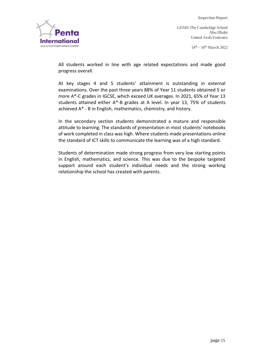

**14th – 16thMarch 2022** 

All students worked in line with age related expectations and made good progress overall.

At key stages 4 and 5 students' attainment is outstanding in external examinations. Over the past three years 88% of Year 11 students obtained 5 or more A\*-C grades in IGCSE, which exceed UK averages. In 2021, 65% of Year 13 students attained either A\*-B grades at A level. In year 13, 75% of students achieved A\* - B in English, mathematics, chemistry, and history.

In the secondary section students demonstrated a mature and responsible attitude to learning. The standards of presentation in most students' notebooks of work completed in class was high. Where students made presentations online the standard of ICT skills to communicate the learning was of a high standard.

Students of determination made strong progress from very low starting points in English, mathematics, and science. This was due to the bespoke targeted support around each student's individual needs and the strong working relationship the school has created with parents.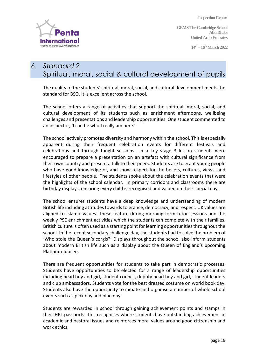**GEMS The Cambridge School Abu Dhabi United Arab Emirates**

**14th – 16thMarch 2022** 



# 6. *Standard 2* Spiritual, moral, social & cultural development of pupils

The quality of the students' spiritual, moral, social, and cultural development meets the standard for BSO. It is excellent across the school.

The school offers a range of activities that support the spiritual, moral, social, and cultural development of its students such as enrichment afternoons, wellbeing challenges and presentations and leadership opportunities. One student commented to an inspector, 'I can be who I really am here.'

The school actively promotes diversity and harmony within the school. This is especially apparent during their frequent celebration events for different festivals and celebrations and through taught sessions. In a key stage 3 lesson students were encouraged to prepare a presentation on an artefact with cultural significance from their own country and present a talk to their peers. Students are tolerant young people who have good knowledge of, and show respect for the beliefs, cultures, views, and lifestyles of other people. The students spoke about the celebration events that were the highlights of the school calendar. In primary corridors and classrooms there are birthday displays, ensuring every child is recognised and valued on their special day.

The school ensures students have a deep knowledge and understanding of modern British life including attitudes towards tolerance, democracy, and respect. UK values are aligned to Islamic values. These feature during morning form tutor sessions and the weekly PSE enrichment activities which the students can complete with their families. British culture is often used as a starting point for learning opportunities throughout the school. In the recent secondary challenge day, the students had to solve the problem of 'Who stole the Queen's corgis?' Displays throughout the school also inform students about modern British life such as a display about the Queen of England's upcoming Platinum Jubilee.

There are frequent opportunities for students to take part in democratic processes. Students have opportunities to be elected for a range of leadership opportunities including head boy and girl, student council, deputy head boy and girl, student leaders and club ambassadors. Students vote for the best dressed costume on world book day. Students also have the opportunity to initiate and organise a number of whole school events such as pink day and blue day.

Students are rewarded in school through gaining achievement points and stamps in their HPL passports. This recognises where students have outstanding achievement in academic and pastoral issues and reinforces moral values around good citizenship and work ethics.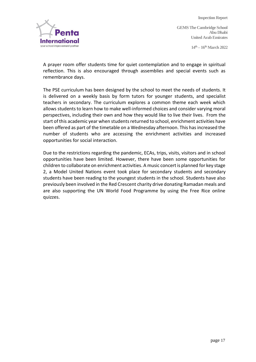

**14th – 16thMarch 2022** 

A prayer room offer students time for quiet contemplation and to engage in spiritual reflection. This is also encouraged through assemblies and special events such as remembrance days.

The PSE curriculum has been designed by the school to meet the needs of students. It is delivered on a weekly basis by form tutors for younger students, and specialist teachers in secondary. The curriculum explores a common theme each week which allows students to learn how to make well-informed choices and consider varying moral perspectives, including their own and how they would like to live their lives. From the start of this academic year when students returned to school, enrichment activities have been offered as part of the timetable on a Wednesday afternoon. This has increased the number of students who are accessing the enrichment activities and increased opportunities for social interaction.

Due to the restrictions regarding the pandemic, ECAs, trips, visits, visitors and in school opportunities have been limited. However, there have been some opportunities for children to collaborate on enrichment activities. A music concert is planned for key stage 2, a Model United Nations event took place for secondary students and secondary students have been reading to the youngest students in the school. Students have also previously been involved in the Red Crescent charity drive donating Ramadan meals and are also supporting the UN World Food Programme by using the Free Rice online quizzes.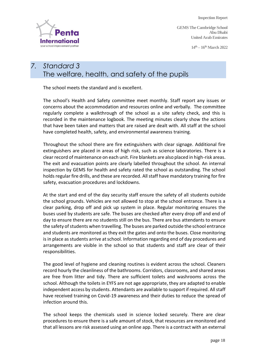**GEMS The Cambridge School Abu Dhabi United Arab Emirates**

**14th – 16thMarch 2022** 



# *7. Standard 3* The welfare, health, and safety of the pupils

The school meets the standard and is excellent.

The school's Health and Safety committee meet monthly. Staff report any issues or concerns about the accommodation and resources online and verbally. The committee regularly complete a walkthrough of the school as a site safety check, and this is recorded in the maintenance logbook. The meeting minutes clearly show the actions that have been taken and matters that are raised are dealt with. All staff at the school have completed health, safety, and environmental awareness training.

Throughout the school there are fire extinguishers with clear signage. Additional fire extinguishers are placed in areas of high risk, such as science laboratories. There is a clear record of maintenance on each unit. Fire blankets are also placed in high-risk areas. The exit and evacuation points are clearly labelled throughout the school. An internal inspection by GEMS for health and safety rated the school as outstanding. The school holds regular fire drills, and these are recorded. All staff have mandatory training for fire safety, evacuation procedures and lockdowns.

At the start and end of the day security staff ensure the safety of all students outside the school grounds. Vehicles are not allowed to stop at the school entrance. There is a clear parking, drop off and pick up system in place. Regular monitoring ensures the buses used by students are safe. The buses are checked after every drop off and end of day to ensure there are no students still on the bus. There are bus attendants to ensure the safety of students when travelling. The buses are parked outside the school entrance and students are monitored as they exit the gates and onto the buses. Close monitoring is in place as students arrive at school. Information regarding end of day procedures and arrangements are visible in the school so that students and staff are clear of their responsibilities.

The good level of hygiene and cleaning routines is evident across the school. Cleaners record hourly the cleanliness of the bathrooms. Corridors, classrooms, and shared areas are free from litter and tidy. There are sufficient toilets and washrooms across the school. Although the toilets in EYFS are not age appropriate, they are adapted to enable independent access by students. Attendants are available to support if required. All staff have received training on Covid-19 awareness and their duties to reduce the spread of infection around this.

The school keeps the chemicals used in science locked securely. There are clear procedures to ensure there is a safe amount of stock, that resources are monitored and that all lessons are risk assessed using an online app. There is a contract with an external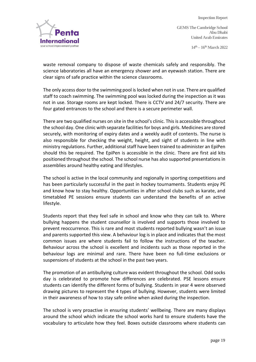**14th – 16thMarch 2022** 



waste removal company to dispose of waste chemicals safely and responsibly. The science laboratories all have an emergency shower and an eyewash station. There are clear signs of safe practice within the science classrooms.

The only access door to the swimming pool is locked when not in use. There are qualified staff to coach swimming. The swimming pool was locked during the inspection as it was not in use. Storage rooms are kept locked. There is CCTV and 24/7 security. There are four gated entrances to the school and there is a secure perimeter wall.

There are two qualified nurses on site in the school's clinic. This is accessible throughout the school day. One clinic with separate facilities for boys and girls. Medicines are stored securely, with monitoring of expiry dates and a weekly audit of contents. The nurse is also responsible for checking the weight, height, and sight of students in line with ministry regulations. Further, additional staff have been trained to administer an EpiPen should this be required. The EpiPen is accessible in the clinic. There are first aid kits positioned throughout the school. The school nurse has also supported presentations in assemblies around healthy eating and lifestyles.

The school is active in the local community and regionally in sporting competitions and has been particularly successful in the past in hockey tournaments. Students enjoy PE and know how to stay healthy. Opportunities in after school clubs such as karate, and timetabled PE sessions ensure students can understand the benefits of an active lifestyle.

Students report that they feel safe in school and know who they can talk to. Where bullying happens the student counsellor is involved and supports those involved to prevent reoccurrence. This is rare and most students reported bullying wasn't an issue and parents supported this view. A behaviour log is in place and indicates that the most common issues are where students fail to follow the instructions of the teacher. Behaviour across the school is excellent and incidents such as those reported in the behaviour logs are minimal and rare. There have been no full-time exclusions or suspensions of students at the school in the past two years.

The promotion of an antibullying culture was evident throughout the school. Odd socks day is celebrated to promote how differences are celebrated. PSE lessons ensure students can identify the different forms of bullying. Students in year 4 were observed drawing pictures to represent the 4 types of bullying. However, students were limited in their awareness of how to stay safe online when asked during the inspection.

The school is very proactive in ensuring students' wellbeing. There are many displays around the school which indicate the school works hard to ensure students have the vocabulary to articulate how they feel. Boxes outside classrooms where students can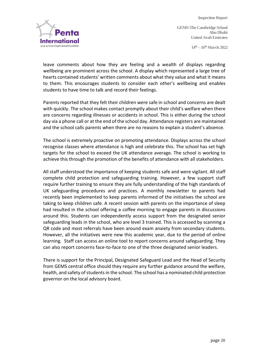**14th – 16thMarch 2022** 



leave comments about how they are feeling and a wealth of displays regarding wellbeing are prominent across the school. A display which represented a large tree of hearts contained students' written comments about what they value and what it means to them. This encourages students to consider each other's wellbeing and enables students to have time to talk and record their feelings.

Parents reported that they felt their children were safe in school and concerns are dealt with quickly. The school makes contact promptly about their child's welfare when there are concerns regarding illnesses or accidents in school. This is either during the school day via a phone call or at the end of the school day. Attendance registers are maintained and the school calls parents when there are no reasons to explain a student's absence.

The school is extremely proactive on promoting attendance. Displays across the school recognise classes where attendance is high and celebrate this. The school has set high targets for the school to exceed the UK attendance average. The school is working to achieve this through the promotion of the benefits of attendance with all stakeholders.

All staff understood the importance of keeping students safe and were vigilant. All staff complete child protection and safeguarding training. However, a few support staff require further training to ensure they are fully understanding of the high standards of UK safeguarding procedures and practices. A monthly newsletter to parents had recently been implemented to keep parents informed of the initiatives the school are taking to keep children safe. A recent session with parents on the importance of sleep had resulted in the school offering a coffee morning to engage parents in discussions around this. Students can independently access support from the designated senior safeguarding leads in the school, who are level 3 trained. This is accessed by scanning a QR code and most referrals have been around exam anxiety from secondary students. However, all the initiatives were new this academic year, due to the period of online learning. Staff can access an online tool to report concerns around safeguarding. They can also report concerns face-to-face to one of the three designated senior leaders.

There is support for the Principal, Designated Safeguard Lead and the Head of Security from GEMS central office should they require any further guidance around the welfare, health, and safety of students in the school. The school has a nominated child protection governor on the local advisory board.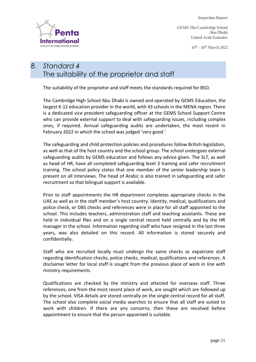**GEMS The Cambridge School Abu Dhabi United Arab Emirates**

**14th – 16thMarch 2022** 



# *8. Standard 4* The suitability of the proprietor and staff

The suitability of the proprietor and staff meets the standards required for BSO.

The Cambridge High School Abu Dhabi is owned and operated by GEMS Education, the largest K-12 education provider in the world, with 43 schools in the MENA region. There is a dedicated vice president safeguarding officer at the GEMS School Support Centre who can provide external support to deal with safeguarding issues, including complex ones, if required. Annual safeguarding audits are undertaken, the most recent in February 2022 in which the school was judged 'very good.'

The safeguarding and child protection policies and procedures follow British legislation, as well as that of the host country and the school group. The school undergoes external safeguarding audits by GEMS education and follows any advice given. The SLT, as well as head of HR, have all completed safeguarding level 3 training and safer recruitment training. The school policy states that one member of the senior leadership team is present on all interviews. The head of Arabic is also trained in safeguarding and safer recruitment so that bilingual support is available.

Prior to staff appointments the HR department completes appropriate checks in the UAE as well as in the staff member's host country. Identity, medical, qualifications and police check, or DBS checks and references were in place for all staff appointed to the school. This includes teachers, administration staff and teaching assistants. These are held in individual files and on a single central record held centrally and by the HR manager in the school. Information regarding staff who have resigned in the last three years, was also detailed on this record. All information is stored securely and confidentially.

Staff who are recruited locally must undergo the same checks as expatriate staff regarding identification checks, police checks, medical, qualifications and references. A disclaimer letter for local staff is sought from the previous place of work in line with ministry requirements.

Qualifications are checked by the ministry and attested for overseas staff. Three references, one from the most recent place of work, are sought which are followed up by the school. VISA details are stored centrally on the single central record for all staff. The school also complete social media searches to ensure that all staff are suited to work with children. If there are any concerns, then these are resolved before appointment to ensure that the person appointed is suitable.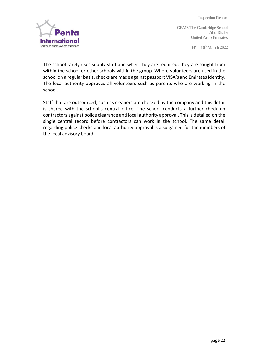**14th – 16thMarch 2022** 



The school rarely uses supply staff and when they are required, they are sought from within the school or other schools within the group. Where volunteers are used in the school on a regular basis, checks are made against passport VISA's and Emirates Identity. The local authority approves all volunteers such as parents who are working in the school.

Staff that are outsourced, such as cleaners are checked by the company and this detail is shared with the school's central office. The school conducts a further check on contractors against police clearance and local authority approval. This is detailed on the single central record before contractors can work in the school. The same detail regarding police checks and local authority approval is also gained for the members of the local advisory board.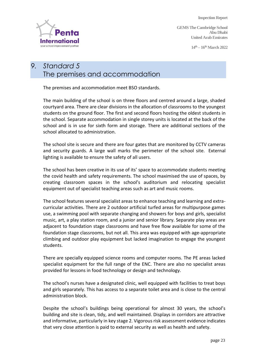**GEMS The Cambridge School Abu Dhabi United Arab Emirates**

**14th – 16thMarch 2022** 



# *9. Standard 5* The premises and accommodation

The premises and accommodation meet BSO standards.

The main building of the school is on three floors and centred around a large, shaded courtyard area. There are clear divisions in the allocation of classrooms to the youngest students on the ground floor. The first and second floors hosting the oldest students in the school. Separate accommodation in single storey units is located at the back of the school and is in use for sixth form and storage. There are additional sections of the school allocated to administration.

The school site is secure and there are four gates that are monitored by CCTV cameras and security guards. A large wall marks the perimeter of the school site. External lighting is available to ensure the safety of all users.

The school has been creative in its use of its' space to accommodate students meeting the covid health and safety requirements. The school maximised the use of spaces, by creating classroom spaces in the school's auditorium and relocating specialist equipment out of specialist teaching areas such as art and music rooms.

The school features several specialist areas to enhance teaching and learning and extracurricular activities. There are 2 outdoor artificial turfed areas for multipurpose games use, a swimming pool with separate changing and showers for boys and girls, specialist music, art, a play station room, and a junior and senior library. Separate play areas are adjacent to foundation stage classrooms and have free flow available for some of the foundation stage classrooms, but not all. This area was equipped with age-appropriate climbing and outdoor play equipment but lacked imagination to engage the youngest students.

There are specially equipped science rooms and computer rooms. The PE areas lacked specialist equipment for the full range of the ENC. There are also no specialist areas provided for lessons in food technology or design and technology.

The school's nurses have a designated clinic, well equipped with facilities to treat boys and girls separately. This has access to a separate toilet area and is close to the central administration block.

Despite the school's buildings being operational for almost 30 years, the school's building and site is clean, tidy, and well maintained. Displays in corridors are attractive and informative, particularly in key stage 2. Vigorous risk assessment evidence indicates that very close attention is paid to external security as well as health and safety.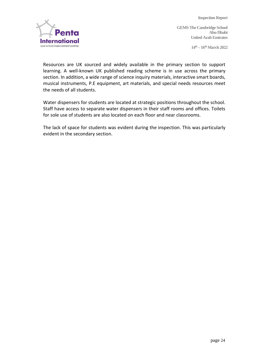**14th – 16thMarch 2022** 



Resources are UK sourced and widely available in the primary section to support learning. A well-known UK published reading scheme is in use across the primary section. In addition, a wide range of science inquiry materials, interactive smart boards, musical instruments, P.E equipment, art materials, and special needs resources meet the needs of all students.

Water dispensers for students are located at strategic positions throughout the school. Staff have access to separate water dispensers in their staff rooms and offices. Toilets for sole use of students are also located on each floor and near classrooms.

The lack of space for students was evident during the inspection. This was particularly evident in the secondary section.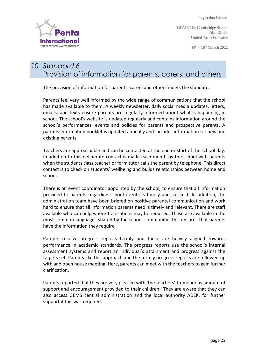**GEMS The Cambridge School Abu Dhabi United Arab Emirates**

**14th – 16thMarch 2022** 

# *10. Standard 6* Provision of information for parents, carers, and others

The provision of information for parents, carers and others meets the standard.

Parents feel very well informed by the wide range of communications that the school has made available to them. A weekly newsletter, daily social media updates, letters, emails, and texts ensure parents are regularly informed about what is happening in school. The school's website is updated regularly and contains information around the school's performances, events and policies for parents and prospective parents. A parents information booklet is updated annually and includes information for new and existing parents.

Teachers are approachable and can be contacted at the end or start of the school day. In addition to this deliberate contact is made each month by the school with parents when the students class teacher or form tutor calls the parent by telephone. This direct contact is to check on students' wellbeing and builds relationships between home and school.

There is an event coordinator appointed by the school, to ensure that all information provided to parents regarding school events is timely and succinct. In addition, the administration team have been briefed on positive parental communication and work hard to ensure that all information parents need is timely and relevant. There are staff available who can help where translations may be required. These are available in the most common languages shared by the school community. This ensures that parents have the information they require.

Parents receive progress reports termly and these are heavily aligned towards performance in academic standards. The progress reports use the school's internal assessment systems and report an individual's attainment and progress against the targets set. Parents like this approach and the termly progress reports are followed up with and open house meeting. Here, parents can meet with the teachers to gain further clarification.

Parents reported that they are very pleased with 'the teachers' tremendous amount of support and encouragement provided to their children.' They are aware that they can also access GEMS central administration and the local authority ADEK, for further support if this was required.

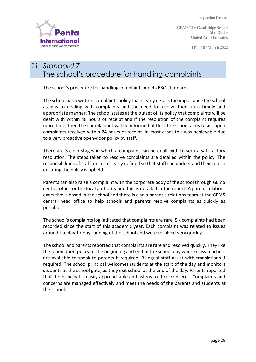**GEMS The Cambridge School Abu Dhabi United Arab Emirates**

**14th – 16thMarch 2022** 



# *11. Standard 7* The school's procedure for handling complaints

The school's procedure for handling complaints meets BSO standards.

The school has a written complaints policy that clearly details the importance the school assigns to dealing with complaints and the need to resolve them in a timely and appropriate manner. The school states at the outset of its policy that complaints will be dealt with within 48 hours of receipt and if the resolution of the complaint requires more time, then the complainant will be informed of this. The school aims to act upon complaints received within 24 hours of receipt. In most cases this was achievable due to a very proactive open-door policy by staff.

There are 3 clear stages in which a complaint can be dealt with to seek a satisfactory resolution. The steps taken to resolve complaints are detailed within the policy. The responsibilities of staff are also clearly defined so that staff can understand their role in ensuring the policy is upheld.

Parents can also raise a complaint with the corporate body of the school through GEMS central office or the local authority and this is detailed in the report. A parent relations executive is based in the school and there is also a parent's relations team at the GEMS central head office to help schools and parents resolve complaints as quickly as possible.

The school's complaints log indicated that complaints are rare. Six complaints had been recorded since the start of this academic year. Each complaint was related to issues around the day-to-day running of the school and were resolved very quickly.

The school and parents reported that complaints are rare and resolved quickly. They like the 'open door' policy at the beginning and end of the school day where class teachers are available to speak to parents if required. Bilingual staff assist with translations if required. The school principal welcomes students at the start of the day and monitors students at the school gate, as they exit school at the end of the day. Parents reported that the principal is easily approachable and listens to their concerns. Complaints and concerns are managed effectively and meet the needs of the parents and students at the school.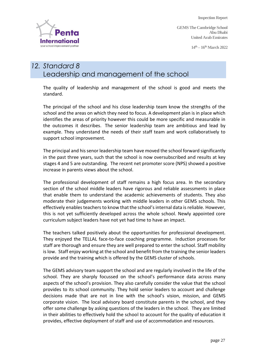**GEMS The Cambridge School Abu Dhabi United Arab Emirates**

**14th – 16thMarch 2022** 



# *12. Standard 8* Leadership and management of the school

The quality of leadership and management of the school is good and meets the standard.

The principal of the school and his close leadership team know the strengths of the school and the areas on which they need to focus. A development plan is in place which identifies the areas of priority however this could be more specific and measurable in the outcomes it describes. The senior leadership team are ambitious and lead by example. They understand the needs of their staff team and work collaboratively to support school improvement.

The principal and his senor leadership team have moved the school forward significantly in the past three years, such that the school is now oversubscribed and results at key stages 4 and 5 are outstanding. The recent net promoter score (NPS) showed a positive increase in parents views about the school.

The professional development of staff remains a high focus area. In the secondary section of the school middle leaders have rigorous and reliable assessments in place that enable them to understand the academic achievements of students. They also moderate their judgements working with middle leaders in other GEMS schools. This effectively enables teachers to know that the school's internal data is reliable. However, this is not yet sufficiently developed across the whole school. Newly appointed core curriculum subject leaders have not yet had time to have an impact.

The teachers talked positively about the opportunities for professional development. They enjoyed the TELLAL face-to-face coaching programme. Induction processes for staff are thorough and ensure they are well prepared to enter the school. Staff mobility is low. Staff enjoy working at the school and benefit from the training the senior leaders provide and the training which is offered by the GEMS cluster of schools.

The GEMS advisory team support the school and are regularly involved in the life of the school. They are sharply focussed on the school's performance data across many aspects of the school's provision. They also carefully consider the value that the school provides to its school community. They hold senior leaders to account and challenge decisions made that are not in line with the school's vision, mission, and GEMS corporate vision. The local advisory board constitute parents in the school, and they offer some challenge by asking questions of the leaders in the school. They are limited in their abilities to effectively hold the school to account for the quality of education it provides, effective deployment of staff and use of accommodation and resources.